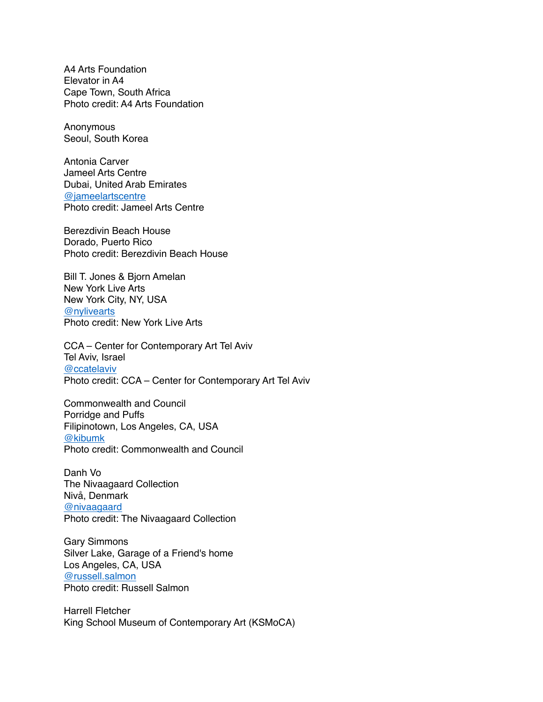A4 Arts Foundation Elevator in A4 Cape Town, South Africa Photo credit: A4 Arts Foundation

**Anonymous** Seoul, South Korea

Antonia Carver Jameel Arts Centre Dubai, United Arab Emirates [@jameelartscentre](https://www.instagram.com/jameelartscentre/?hl=en) Photo credit: Jameel Arts Centre

Berezdivin Beach House Dorado, Puerto Rico Photo credit: Berezdivin Beach House

Bill T. Jones & Bjorn Amelan New York Live Arts New York City, NY, USA [@nylivearts](https://www.instagram.com/nylivearts/?hl=en) Photo credit: New York Live Arts

CCA – Center for Contemporary Art Tel Aviv Tel Aviv, Israel [@ccatelaviv](https://www.instagram.com/ccatelaviv/) Photo credit: CCA – Center for Contemporary Art Tel Aviv

Commonwealth and Council Porridge and Puffs Filipinotown, Los Angeles, CA, USA [@kibumk](https://www.instagram.com/kibumk/) Photo credit: Commonwealth and Council

Danh Vo The Nivaagaard Collection Nivå, Denmark [@nivaagaard](https://www.instagram.com/nivaagaard/) Photo credit: The Nivaagaard Collection

Gary Simmons Silver Lake, Garage of a Friend's home Los Angeles, CA, USA [@russell.salmon](https://www.instagram.com/russell.salmon/) Photo credit: Russell Salmon

Harrell Fletcher King School Museum of Contemporary Art (KSMoCA)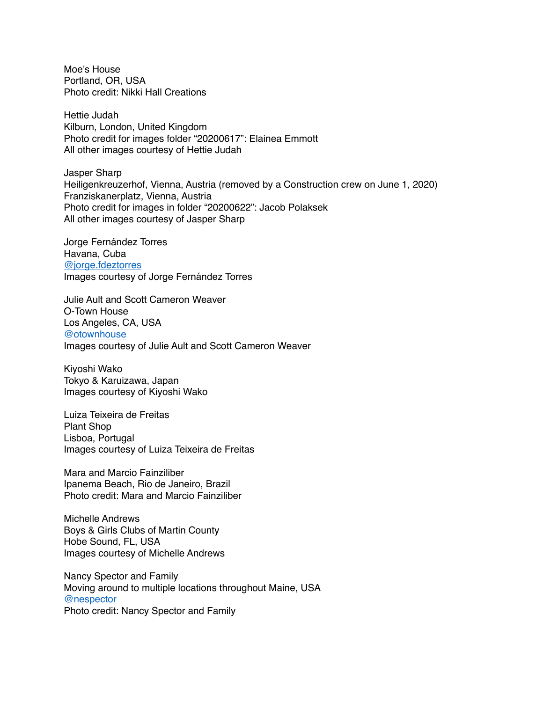Moe's House Portland, OR, USA Photo credit: Nikki Hall Creations

Hettie Judah Kilburn, London, United Kingdom Photo credit for images folder "20200617": Elainea Emmott All other images courtesy of Hettie Judah

Jasper Sharp Heiligenkreuzerhof, Vienna, Austria (removed by a Construction crew on June 1, 2020) Franziskanerplatz, Vienna, Austria Photo credit for images in folder "20200622": Jacob Polaksek All other images courtesy of Jasper Sharp

Jorge Fernández Torres Havana, Cuba [@jorge.fdeztorres](https://www.instagram.com/jorge.fdeztorres/) Images courtesy of Jorge Fernández Torres

Julie Ault and Scott Cameron Weaver O-Town House Los Angeles, CA, USA [@otownhouse](https://www.instagram.com/otownhouse/?hl=en) Images courtesy of Julie Ault and Scott Cameron Weaver

Kiyoshi Wako Tokyo & Karuizawa, Japan Images courtesy of Kiyoshi Wako

Luiza Teixeira de Freitas Plant Shop Lisboa, Portugal Images courtesy of Luiza Teixeira de Freitas

Mara and Marcio Fainziliber Ipanema Beach, Rio de Janeiro, Brazil Photo credit: Mara and Marcio Fainziliber

Michelle Andrews Boys & Girls Clubs of Martin County Hobe Sound, FL, USA Images courtesy of Michelle Andrews

Nancy Spector and Family Moving around to multiple locations throughout Maine, USA [@nespector](https://www.instagram.com/nespector/) Photo credit: Nancy Spector and Family